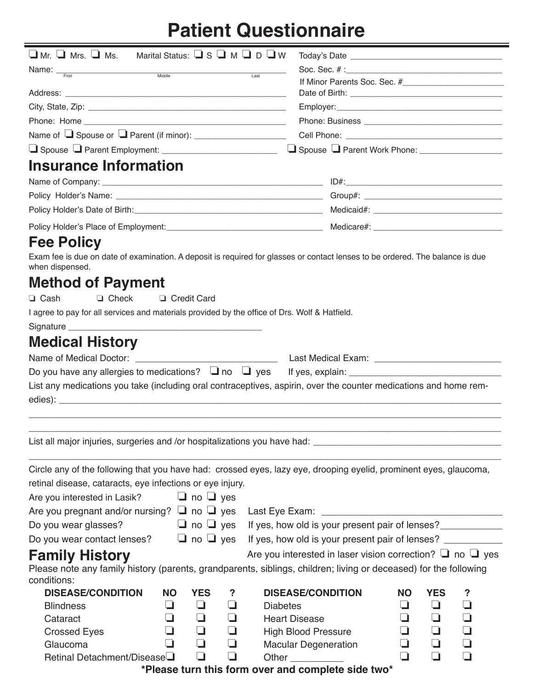## **Patient Questionnaire**

| $\Box$ Mr. $\Box$ Mrs. $\Box$ Ms. Marital Status: $\Box$ S $\Box$ M $\Box$ D $\Box$ W                                                            |                         |                      |                             |                                                                                    |  |  |  |  |
|--------------------------------------------------------------------------------------------------------------------------------------------------|-------------------------|----------------------|-----------------------------|------------------------------------------------------------------------------------|--|--|--|--|
| Name: First Middle                                                                                                                               |                         | Last                 |                             |                                                                                    |  |  |  |  |
|                                                                                                                                                  |                         |                      |                             |                                                                                    |  |  |  |  |
|                                                                                                                                                  |                         |                      |                             |                                                                                    |  |  |  |  |
|                                                                                                                                                  |                         |                      |                             |                                                                                    |  |  |  |  |
|                                                                                                                                                  |                         |                      |                             |                                                                                    |  |  |  |  |
|                                                                                                                                                  |                         |                      |                             |                                                                                    |  |  |  |  |
|                                                                                                                                                  |                         |                      |                             |                                                                                    |  |  |  |  |
| Insurance Information                                                                                                                            |                         |                      |                             |                                                                                    |  |  |  |  |
|                                                                                                                                                  |                         |                      |                             |                                                                                    |  |  |  |  |
|                                                                                                                                                  |                         |                      |                             |                                                                                    |  |  |  |  |
|                                                                                                                                                  |                         |                      |                             |                                                                                    |  |  |  |  |
|                                                                                                                                                  |                         |                      |                             |                                                                                    |  |  |  |  |
| <b>Fee Policy</b>                                                                                                                                |                         |                      |                             |                                                                                    |  |  |  |  |
| Exam fee is due on date of examination. A deposit is required for glasses or contact lenses to be ordered. The balance is due<br>when dispensed. |                         |                      |                             |                                                                                    |  |  |  |  |
| <b>Method of Payment</b>                                                                                                                         |                         |                      |                             |                                                                                    |  |  |  |  |
| $\Box$ Cash<br>$\Box$ Check                                                                                                                      | □ Credit Card           |                      |                             |                                                                                    |  |  |  |  |
| I agree to pay for all services and materials provided by the office of Drs. Wolf & Hatfield.                                                    |                         |                      |                             |                                                                                    |  |  |  |  |
|                                                                                                                                                  |                         |                      |                             |                                                                                    |  |  |  |  |
| <b>Medical History</b>                                                                                                                           |                         |                      |                             |                                                                                    |  |  |  |  |
|                                                                                                                                                  |                         |                      |                             |                                                                                    |  |  |  |  |
|                                                                                                                                                  |                         |                      |                             |                                                                                    |  |  |  |  |
| List any medications you take (including oral contraceptives, aspirin, over the counter medications and home rem-                                |                         |                      |                             |                                                                                    |  |  |  |  |
|                                                                                                                                                  |                         |                      |                             |                                                                                    |  |  |  |  |
|                                                                                                                                                  |                         |                      |                             |                                                                                    |  |  |  |  |
|                                                                                                                                                  |                         |                      |                             |                                                                                    |  |  |  |  |
|                                                                                                                                                  |                         |                      |                             |                                                                                    |  |  |  |  |
|                                                                                                                                                  |                         |                      |                             |                                                                                    |  |  |  |  |
| Circle any of the following that you have had: crossed eyes, lazy eye, drooping eyelid, prominent eyes, glaucoma,                                |                         |                      |                             |                                                                                    |  |  |  |  |
| retinal disease, cataracts, eye infections or eye injury.                                                                                        |                         |                      |                             |                                                                                    |  |  |  |  |
| Are you interested in Lasik? $\Box$ no $\Box$ yes                                                                                                |                         |                      |                             |                                                                                    |  |  |  |  |
| Are you pregnant and/or nursing? $\Box$ no $\Box$ yes                                                                                            |                         |                      |                             |                                                                                    |  |  |  |  |
| Do you wear glasses?                                                                                                                             |                         |                      |                             | $\Box$ no $\Box$ yes If yes, how old is your present pair of lenses? _____________ |  |  |  |  |
| Do you wear contact lenses? $\Box$ no $\Box$ yes                                                                                                 |                         |                      |                             | If yes, how old is your present pair of lenses? ____________                       |  |  |  |  |
| <b>Family History</b>                                                                                                                            |                         |                      |                             | Are you interested in laser vision correction? $\Box$ no $\Box$ yes                |  |  |  |  |
| Please note any family history (parents, grandparents, siblings, children; living or deceased) for the following                                 |                         |                      |                             |                                                                                    |  |  |  |  |
| conditions:                                                                                                                                      |                         |                      |                             |                                                                                    |  |  |  |  |
| <b>DISEASE/CONDITION</b>                                                                                                                         | <b>NO</b><br><b>YES</b> | ?                    | <b>DISEASE/CONDITION</b>    | <b>YES</b><br><b>NO</b><br>?                                                       |  |  |  |  |
| <b>Blindness</b>                                                                                                                                 | ❏<br>⊔                  | ⊔<br><b>Diabetes</b> |                             | $\Box$<br>┚<br>⊔                                                                   |  |  |  |  |
| Cataract                                                                                                                                         | $\Box$<br>❏             | ❏                    | <b>Heart Disease</b>        | ❏<br>❏                                                                             |  |  |  |  |
| <b>Crossed Eyes</b>                                                                                                                              | $\Box$<br>$\Box$        | ❏                    | <b>High Blood Pressure</b>  | ❏<br>$\Box$                                                                        |  |  |  |  |
| Glaucoma                                                                                                                                         | $\Box$<br>$\Box$        | ❏                    | <b>Macular Degeneration</b> | ❏<br>❏                                                                             |  |  |  |  |
| Retinal Detachment/Disease                                                                                                                       | $\Box$                  | $\Box$               | Other _____________         | $\Box$<br>$\Box$                                                                   |  |  |  |  |

**\*Please turn this form over and complete side two\***